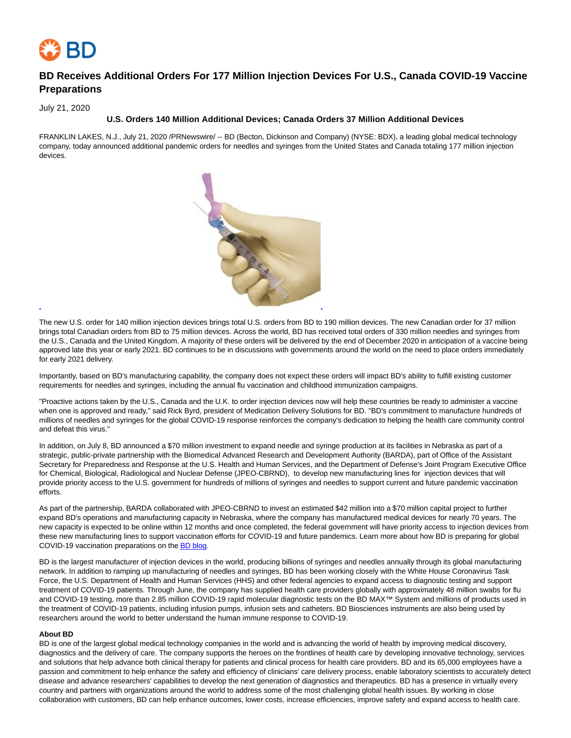

# **BD Receives Additional Orders For 177 Million Injection Devices For U.S., Canada COVID-19 Vaccine Preparations**

July 21, 2020

### **U.S. Orders 140 Million Additional Devices; Canada Orders 37 Million Additional Devices**

FRANKLIN LAKES, N.J., July 21, 2020 /PRNewswire/ -- BD (Becton, Dickinson and Company) (NYSE: BDX), a leading global medical technology company, today announced additional pandemic orders for needles and syringes from the United States and Canada totaling 177 million injection devices.



The new U.S. order for 140 million injection devices brings total U.S. orders from BD to 190 million devices. The new Canadian order for 37 million brings total Canadian orders from BD to 75 million devices. Across the world, BD has received total orders of 330 million needles and syringes from the U.S., Canada and the United Kingdom. A majority of these orders will be delivered by the end of December 2020 in anticipation of a vaccine being approved late this year or early 2021. BD continues to be in discussions with governments around the world on the need to place orders immediately for early 2021 delivery.

Importantly, based on BD's manufacturing capability, the company does not expect these orders will impact BD's ability to fulfill existing customer requirements for needles and syringes, including the annual flu vaccination and childhood immunization campaigns.

"Proactive actions taken by the U.S., Canada and the U.K. to order injection devices now will help these countries be ready to administer a vaccine when one is approved and ready," said Rick Byrd, president of Medication Delivery Solutions for BD. "BD's commitment to manufacture hundreds of millions of needles and syringes for the global COVID-19 response reinforces the company's dedication to helping the health care community control and defeat this virus."

In addition, on July 8, BD announced a \$70 million investment to expand needle and syringe production at its facilities in Nebraska as part of a strategic, public-private partnership with the Biomedical Advanced Research and Development Authority (BARDA), part of Office of the Assistant Secretary for Preparedness and Response at the U.S. Health and Human Services, and the Department of Defense's Joint Program Executive Office for Chemical, Biological, Radiological and Nuclear Defense (JPEO-CBRND), to develop new manufacturing lines for injection devices that will provide priority access to the U.S. government for hundreds of millions of syringes and needles to support current and future pandemic vaccination efforts.

As part of the partnership, BARDA collaborated with JPEO-CBRND to invest an estimated \$42 million into a \$70 million capital project to further expand BD's operations and manufacturing capacity in Nebraska, where the company has manufactured medical devices for nearly 70 years. The new capacity is expected to be online within 12 months and once completed, the federal government will have priority access to injection devices from these new manufacturing lines to support vaccination efforts for COVID-19 and future pandemics. Learn more about how BD is preparing for global COVID-19 vaccination preparations on th[e BD blog.](https://c212.net/c/link/?t=0&l=en&o=2862673-1&h=429020813&u=https%3A%2F%2Fnews.bd.com%2FHow-BD-is-preparing-for-global-COVID-19-vaccination-campaigns&a=BD+blog)

BD is the largest manufacturer of injection devices in the world, producing billions of syringes and needles annually through its global manufacturing network. In addition to ramping up manufacturing of needles and syringes, BD has been working closely with the White House Coronavirus Task Force, the U.S. Department of Health and Human Services (HHS) and other federal agencies to expand access to diagnostic testing and support treatment of COVID-19 patients. Through June, the company has supplied health care providers globally with approximately 48 million swabs for flu and COVID-19 testing, more than 2.85 million COVID-19 rapid molecular diagnostic tests on the BD MAX™ System and millions of products used in the treatment of COVID-19 patients, including infusion pumps, infusion sets and catheters. BD Biosciences instruments are also being used by researchers around the world to better understand the human immune response to COVID-19.

#### **About BD**

BD is one of the largest global medical technology companies in the world and is advancing the world of health by improving medical discovery, diagnostics and the delivery of care. The company supports the heroes on the frontlines of health care by developing innovative technology, services and solutions that help advance both clinical therapy for patients and clinical process for health care providers. BD and its 65,000 employees have a passion and commitment to help enhance the safety and efficiency of clinicians' care delivery process, enable laboratory scientists to accurately detect disease and advance researchers' capabilities to develop the next generation of diagnostics and therapeutics. BD has a presence in virtually every country and partners with organizations around the world to address some of the most challenging global health issues. By working in close collaboration with customers, BD can help enhance outcomes, lower costs, increase efficiencies, improve safety and expand access to health care.